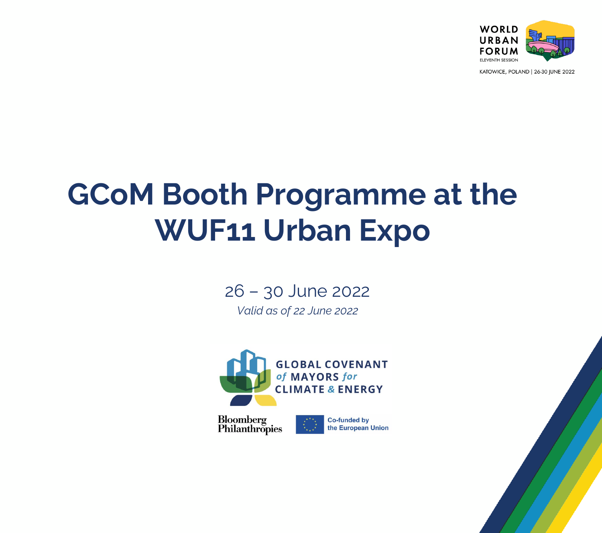

KATOWICE, POLAND | 26-30 JUNE 2022

## **GCoM Booth Programme at the WUF11 Urban Expo**

26 – 30 June 2022 *Valid as of 22 June 2022*





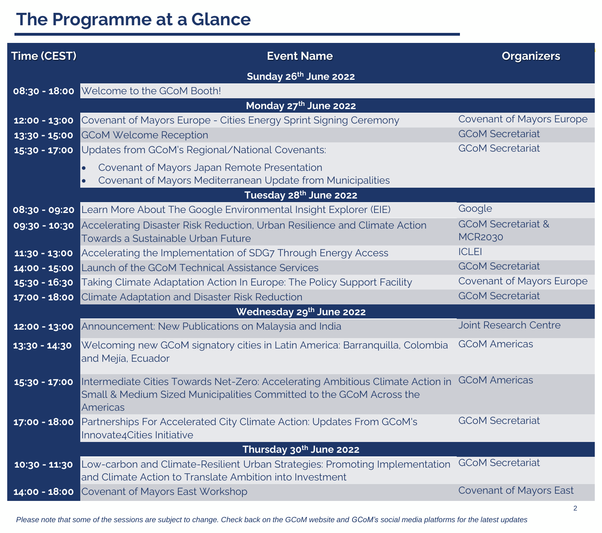## **The Programme at a Glance**

| <b>Time (CEST)</b> | <b>Event Name</b>                                                                                                                                                  | <b>Organizers</b>                               |
|--------------------|--------------------------------------------------------------------------------------------------------------------------------------------------------------------|-------------------------------------------------|
|                    | Sunday 26th June 2022                                                                                                                                              |                                                 |
|                    | 08:30 - 18:00 Welcome to the GCoM Booth!                                                                                                                           |                                                 |
|                    | Monday 27th June 2022                                                                                                                                              |                                                 |
| 12:00 - 13:00      | Covenant of Mayors Europe - Cities Energy Sprint Signing Ceremony                                                                                                  | <b>Covenant of Mayors Europe</b>                |
| 13:30 - 15:00      | <b>GCoM Welcome Reception</b>                                                                                                                                      | <b>GCoM Secretariat</b>                         |
| 15:30 - 17:00      | Updates from GCoM's Regional/National Covenants:                                                                                                                   | <b>GCoM Secretariat</b>                         |
|                    | Covenant of Mayors Japan Remote Presentation<br>Covenant of Mayors Mediterranean Update from Municipalities<br>$\bullet$                                           |                                                 |
|                    | Tuesday 28th June 2022                                                                                                                                             |                                                 |
| 08:30 - 09:20      | Learn More About The Google Environmental Insight Explorer (EIE)                                                                                                   | Google                                          |
| 09:30 - 10:30      | Accelerating Disaster Risk Reduction, Urban Resilience and Climate Action<br>Towards a Sustainable Urban Future                                                    | <b>GCoM Secretariat &amp;</b><br><b>MCR2030</b> |
| 11:30 - 13:00      | Accelerating the Implementation of SDG7 Through Energy Access                                                                                                      | <b>ICLEI</b>                                    |
|                    | 14:00 - 15:00 Launch of the GCoM Technical Assistance Services                                                                                                     | <b>GCoM Secretariat</b>                         |
| 15:30 - 16:30      | Taking Climate Adaptation Action In Europe: The Policy Support Facility                                                                                            | <b>Covenant of Mayors Europe</b>                |
| 17:00 - 18:00      | <b>Climate Adaptation and Disaster Risk Reduction</b>                                                                                                              | <b>GCoM Secretariat</b>                         |
|                    | Wednesday 29th June 2022                                                                                                                                           |                                                 |
|                    | 12:00 - 13:00 Announcement: New Publications on Malaysia and India                                                                                                 | <b>Joint Research Centre</b>                    |
| 13:30 - 14:30      | Welcoming new GCoM signatory cities in Latin America: Barranquilla, Colombia<br>and Mejía, Ecuador                                                                 | <b>GCoM Americas</b>                            |
| 15:30 - 17:00      | Intermediate Cities Towards Net-Zero: Accelerating Ambitious Climate Action in<br>Small & Medium Sized Municipalities Committed to the GCoM Across the<br>Americas | <b>GCoM Americas</b>                            |
| 17:00 - 18:00      | Partnerships For Accelerated City Climate Action: Updates From GCoM's<br>Innovate4Cities Initiative                                                                | <b>GCoM Secretariat</b>                         |
|                    | Thursday 30th June 2022                                                                                                                                            |                                                 |
| $10:30 - 11:30$    | Low-carbon and Climate-Resilient Urban Strategies: Promoting Implementation<br>and Climate Action to Translate Ambition into Investment                            | <b>GCoM Secretariat</b>                         |
| $14:00 - 18:00$    | Covenant of Mayors East Workshop                                                                                                                                   | <b>Covenant of Mayors East</b>                  |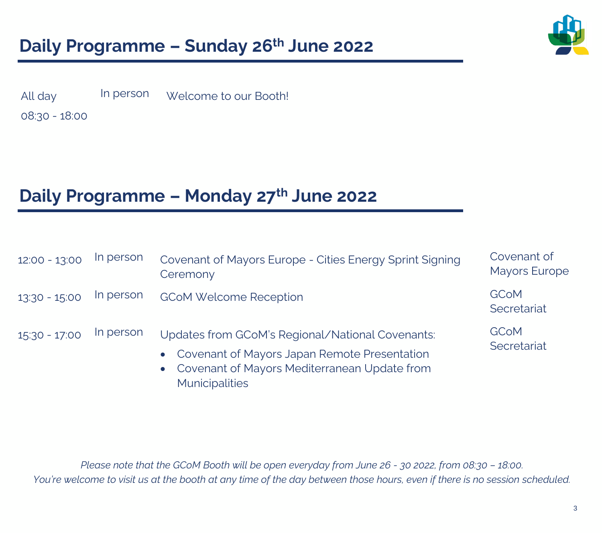

All day 08:30 - 18:00 In person Welcome to our Booth!

## **Daily Programme – Monday 27th June 2022**

| $12:00 - 13:00$ | In person | Covenant of Mayors Europe - Cities Energy Sprint Signing<br>Ceremony                                                                                                          | Covenant of<br><b>Mayors Europe</b> |
|-----------------|-----------|-------------------------------------------------------------------------------------------------------------------------------------------------------------------------------|-------------------------------------|
| $13:30 - 15:00$ | In person | <b>GCoM Welcome Reception</b>                                                                                                                                                 | <b>GCoM</b><br>Secretariat          |
| $15:30 - 17:00$ | In person | Updates from GCoM's Regional/National Covenants:<br>• Covenant of Mayors Japan Remote Presentation<br>• Covenant of Mayors Mediterranean Update from<br><b>Municipalities</b> | <b>GCoM</b><br>Secretariat          |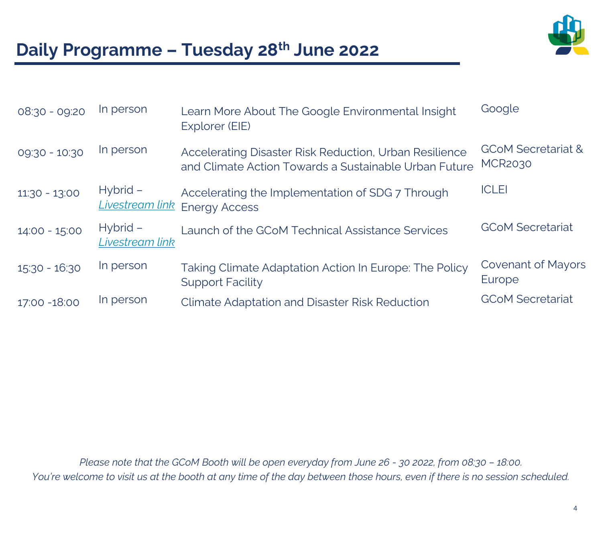

| $08:30 - 09:20$ | In person                     | Learn More About The Google Environmental Insight<br>Explorer (EIE)                                             | Google                                          |
|-----------------|-------------------------------|-----------------------------------------------------------------------------------------------------------------|-------------------------------------------------|
| 09:30 - 10:30   | In person                     | Accelerating Disaster Risk Reduction, Urban Resilience<br>and Climate Action Towards a Sustainable Urban Future | <b>GCoM Secretariat &amp;</b><br><b>MCR2030</b> |
| $11:30 - 13:00$ | $Hybrid -$<br>Livestream link | Accelerating the Implementation of SDG 7 Through<br><b>Energy Access</b>                                        | <b>ICLEI</b>                                    |
| $14:00 - 15:00$ | $Hybrid -$<br>Livestream link | Launch of the GCoM Technical Assistance Services                                                                | <b>GCoM Secretariat</b>                         |
| $15:30 - 16:30$ | In person                     | Taking Climate Adaptation Action In Europe: The Policy<br><b>Support Facility</b>                               | <b>Covenant of Mayors</b><br>Europe             |
| 17:00 -18:00    | In person                     | <b>Climate Adaptation and Disaster Risk Reduction</b>                                                           | <b>GCoM Secretariat</b>                         |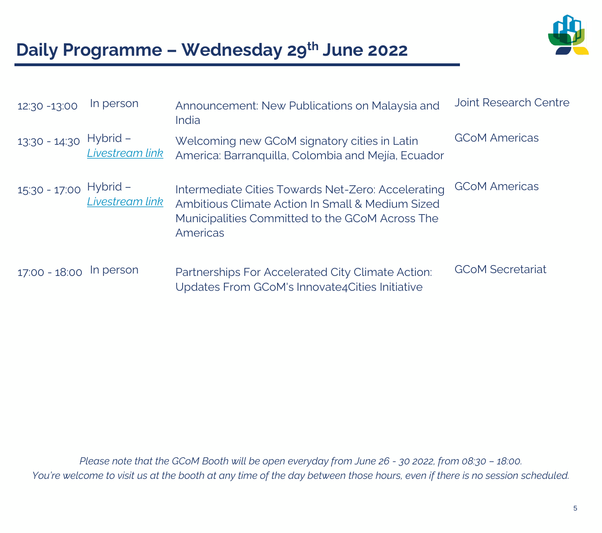

| 12:30 -13:00           | In person       | Announcement: New Publications on Malaysia and<br>India                                                                                                                      | <b>Joint Research Centre</b> |
|------------------------|-----------------|------------------------------------------------------------------------------------------------------------------------------------------------------------------------------|------------------------------|
| 13:30 - 14:30 Hybrid - | Livestream link | Welcoming new GCoM signatory cities in Latin<br>America: Barranquilla, Colombia and Mejía, Ecuador                                                                           | <b>GCoM</b> Americas         |
| 15:30 - 17:00 Hybrid - | Livestream link | Intermediate Cities Towards Net-Zero: Accelerating<br>Ambitious Climate Action In Small & Medium Sized<br>Municipalities Committed to the GCoM Across The<br><b>Americas</b> | <b>GCoM</b> Americas         |
| $17:00 - 18:00$        | In person       | Partnerships For Accelerated City Climate Action:<br>Updates From GCoM's Innovate4 Cities Initiative                                                                         | <b>GCoM Secretariat</b>      |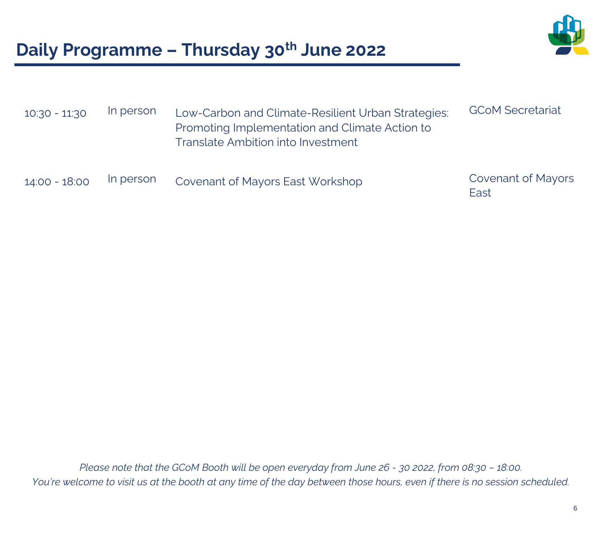

| $10:30 - 11:30$ | In person | Low-Carbon and Climate-Resilient Urban Strategies:<br>Promoting Implementation and Climate Action to<br><b>Translate Ambition into Investment</b> | <b>GCoM Secretariat</b>           |
|-----------------|-----------|---------------------------------------------------------------------------------------------------------------------------------------------------|-----------------------------------|
| $14:00 - 18:00$ | In person | <b>Covenant of Mayors East Workshop</b>                                                                                                           | <b>Covenant of Mayors</b><br>East |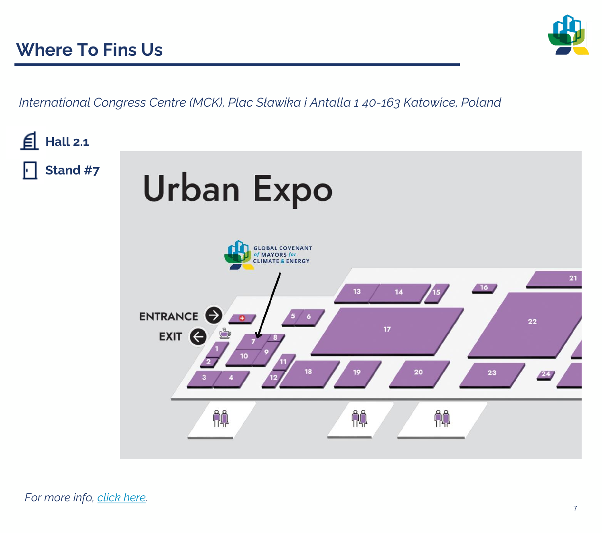

*International Congress Centre (MCK), Plac Sławika i Antalla 1 40-163 Katowice, Poland*